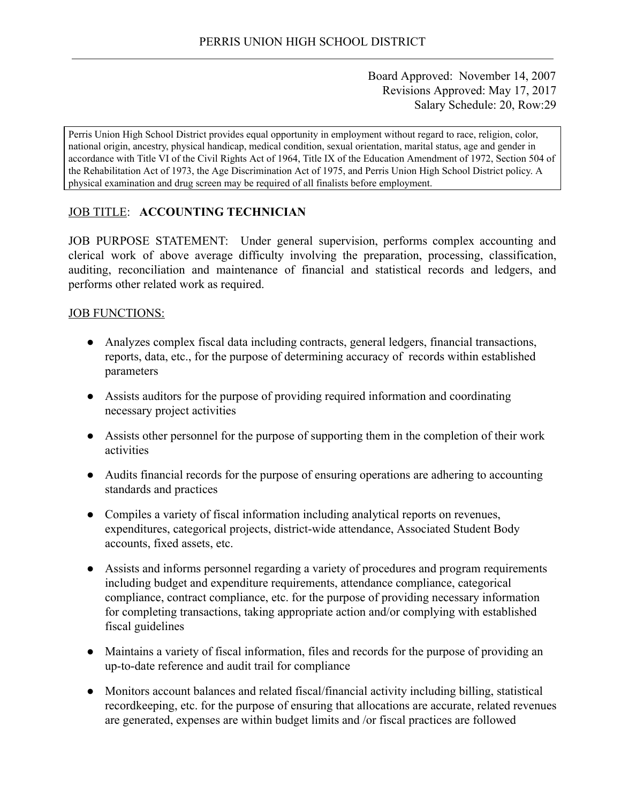Board Approved: November 14, 2007 Revisions Approved: May 17, 2017 Salary Schedule: 20, Row:29

Perris Union High School District provides equal opportunity in employment without regard to race, religion, color, national origin, ancestry, physical handicap, medical condition, sexual orientation, marital status, age and gender in accordance with Title VI of the Civil Rights Act of 1964, Title IX of the Education Amendment of 1972, Section 504 of the Rehabilitation Act of 1973, the Age Discrimination Act of 1975, and Perris Union High School District policy. A physical examination and drug screen may be required of all finalists before employment.

# **JOB TITLE: ACCOUNTING TECHNICIAN**

JOB PURPOSE STATEMENT: Under general supervision, performs complex accounting and clerical work of above average difficulty involving the preparation, processing, classification, auditing, reconciliation and maintenance of financial and statistical records and ledgers, and performs other related work as required.

# JOB FUNCTIONS:

- Analyzes complex fiscal data including contracts, general ledgers, financial transactions, reports, data, etc., for the purpose of determining accuracy of records within established parameters
- Assists auditors for the purpose of providing required information and coordinating necessary project activities
- Assists other personnel for the purpose of supporting them in the completion of their work activities
- Audits financial records for the purpose of ensuring operations are adhering to accounting standards and practices
- Compiles a variety of fiscal information including analytical reports on revenues, expenditures, categorical projects, district-wide attendance, Associated Student Body accounts, fixed assets, etc.
- Assists and informs personnel regarding a variety of procedures and program requirements including budget and expenditure requirements, attendance compliance, categorical compliance, contract compliance, etc. for the purpose of providing necessary information for completing transactions, taking appropriate action and/or complying with established fiscal guidelines
- Maintains a variety of fiscal information, files and records for the purpose of providing an up-to-date reference and audit trail for compliance
- Monitors account balances and related fiscal/financial activity including billing, statistical recordkeeping, etc. for the purpose of ensuring that allocations are accurate, related revenues are generated, expenses are within budget limits and /or fiscal practices are followed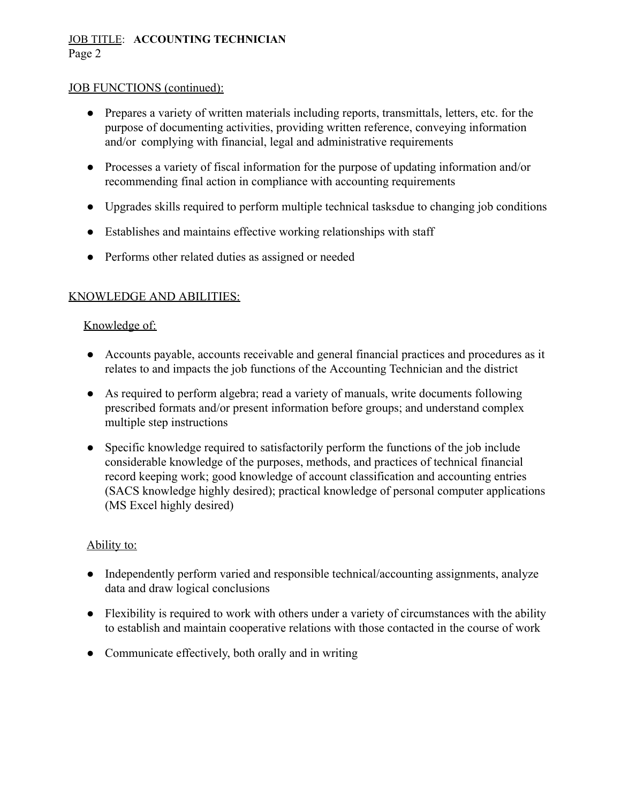# JOB TITLE: **ACCOUNTING TECHNICIAN** Page 2

# JOB FUNCTIONS (continued):

- Prepares a variety of written materials including reports, transmittals, letters, etc. for the purpose of documenting activities, providing written reference, conveying information and/or complying with financial, legal and administrative requirements
- Processes a variety of fiscal information for the purpose of updating information and/or recommending final action in compliance with accounting requirements
- Upgrades skills required to perform multiple technical tasksdue to changing job conditions
- Establishes and maintains effective working relationships with staff
- Performs other related duties as assigned or needed

# KNOWLEDGE AND ABILITIES:

# Knowledge of:

- Accounts payable, accounts receivable and general financial practices and procedures as it relates to and impacts the job functions of the Accounting Technician and the district
- As required to perform algebra; read a variety of manuals, write documents following prescribed formats and/or present information before groups; and understand complex multiple step instructions
- Specific knowledge required to satisfactorily perform the functions of the job include considerable knowledge of the purposes, methods, and practices of technical financial record keeping work; good knowledge of account classification and accounting entries (SACS knowledge highly desired); practical knowledge of personal computer applications (MS Excel highly desired)

#### Ability to:

- Independently perform varied and responsible technical/accounting assignments, analyze data and draw logical conclusions
- Flexibility is required to work with others under a variety of circumstances with the ability to establish and maintain cooperative relations with those contacted in the course of work
- Communicate effectively, both orally and in writing